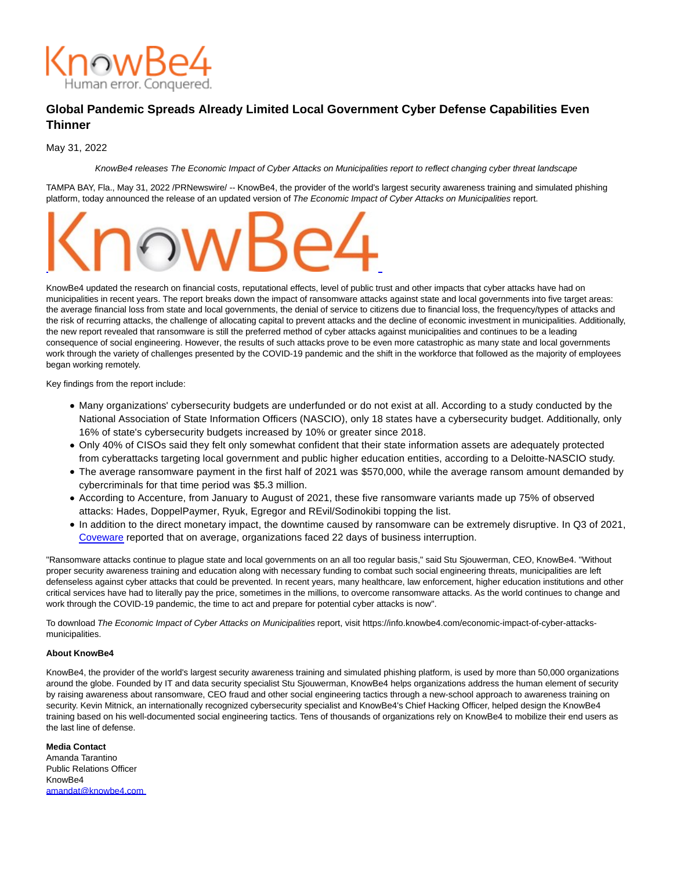

## **Global Pandemic Spreads Already Limited Local Government Cyber Defense Capabilities Even Thinner**

May 31, 2022

KnowBe4 releases The Economic Impact of Cyber Attacks on Municipalities report to reflect changing cyber threat landscape

TAMPA BAY, Fla., May 31, 2022 /PRNewswire/ -- KnowBe4, the provider of the world's largest security awareness training and simulated phishing platform, today announced the release of an updated version of The Economic Impact of Cyber Attacks on Municipalities report.



KnowBe4 updated the research on financial costs, reputational effects, level of public trust and other impacts that cyber attacks have had on municipalities in recent years. The report breaks down the impact of ransomware attacks against state and local governments into five target areas: the average financial loss from state and local governments, the denial of service to citizens due to financial loss, the frequency/types of attacks and the risk of recurring attacks, the challenge of allocating capital to prevent attacks and the decline of economic investment in municipalities. Additionally, the new report revealed that ransomware is still the preferred method of cyber attacks against municipalities and continues to be a leading consequence of social engineering. However, the results of such attacks prove to be even more catastrophic as many state and local governments work through the variety of challenges presented by the COVID-19 pandemic and the shift in the workforce that followed as the majority of employees began working remotely.

Key findings from the report include:

- Many organizations' cybersecurity budgets are underfunded or do not exist at all. According to a study conducted by the National Association of State Information Officers (NASCIO), only 18 states have a cybersecurity budget. Additionally, only 16% of state's cybersecurity budgets increased by 10% or greater since 2018.
- Only 40% of CISOs said they felt only somewhat confident that their state information assets are adequately protected from cyberattacks targeting local government and public higher education entities, according to a Deloitte-NASCIO study.
- The average ransomware payment in the first half of 2021 was \$570,000, while the average ransom amount demanded by cybercriminals for that time period was \$5.3 million.
- According to Accenture, from January to August of 2021, these five ransomware variants made up 75% of observed attacks: Hades, DoppelPaymer, Ryuk, Egregor and REvil/Sodinokibi topping the list.
- In addition to the direct monetary impact, the downtime caused by ransomware can be extremely disruptive. In Q3 of 2021, [Coveware r](https://c212.net/c/link/?t=0&l=en&o=3549989-1&h=4240162201&u=https%3A%2F%2Fwww.coveware.com%2Fblog%2F2021%2F10%2F20%2Fransomware-attacks-continue-as-pressure-mounts&a=Coveware)eported that on average, organizations faced 22 days of business interruption.

"Ransomware attacks continue to plague state and local governments on an all too regular basis," said Stu Sjouwerman, CEO, KnowBe4. "Without proper security awareness training and education along with necessary funding to combat such social engineering threats, municipalities are left defenseless against cyber attacks that could be prevented. In recent years, many healthcare, law enforcement, higher education institutions and other critical services have had to literally pay the price, sometimes in the millions, to overcome ransomware attacks. As the world continues to change and work through the COVID-19 pandemic, the time to act and prepare for potential cyber attacks is now".

To download The Economic Impact of Cyber Attacks on Municipalities report, visit https://info.knowbe4.com/economic-impact-of-cyber-attacksmunicipalities.

## **About KnowBe4**

KnowBe4, the provider of the world's largest security awareness training and simulated phishing platform, is used by more than 50,000 organizations around the globe. Founded by IT and data security specialist Stu Sjouwerman, KnowBe4 helps organizations address the human element of security by raising awareness about ransomware, CEO fraud and other social engineering tactics through a new-school approach to awareness training on security. Kevin Mitnick, an internationally recognized cybersecurity specialist and KnowBe4's Chief Hacking Officer, helped design the KnowBe4 training based on his well-documented social engineering tactics. Tens of thousands of organizations rely on KnowBe4 to mobilize their end users as the last line of defense.

**Media Contact** Amanda Tarantino Public Relations Officer KnowBe4 [amandat@knowbe4.com](mailto:amandat@knowbe4.com)